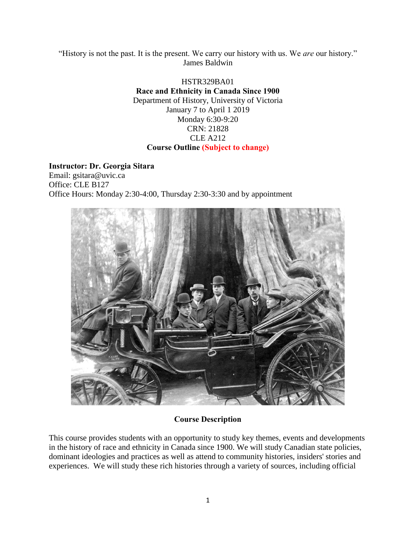"History is not the past. It is the present. We carry our history with us. We *are* our history." James Baldwin

#### HSTR329BA01 **Race and Ethnicity in Canada Since 1900**  Department of History, University of Victoria January 7 to April 1 2019 Monday 6:30-9:20 CRN: 21828 CLE A212 **Course Outline (Subject to change)**

#### **Instructor: Dr. Georgia Sitara**

Email: gsitara@uvic.ca Office: CLE B127 Office Hours: Monday 2:30-4:00, Thursday 2:30-3:30 and by appointment



## **Course Description**

This course provides students with an opportunity to study key themes, events and developments in the history of race and ethnicity in Canada since 1900. We will study Canadian state policies, dominant ideologies and practices as well as attend to community histories, insiders' stories and experiences. We will study these rich histories through a variety of sources, including official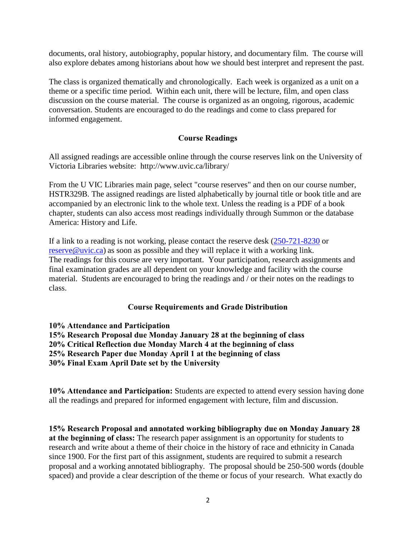documents, oral history, autobiography, popular history, and documentary film. The course will also explore debates among historians about how we should best interpret and represent the past.

The class is organized thematically and chronologically. Each week is organized as a unit on a theme or a specific time period. Within each unit, there will be lecture, film, and open class discussion on the course material. The course is organized as an ongoing, rigorous, academic conversation. Students are encouraged to do the readings and come to class prepared for informed engagement.

#### **Course Readings**

All assigned readings are accessible online through the course reserves link on the University of Victoria Libraries website: http://www.uvic.ca/library/

From the U VIC Libraries main page, select "course reserves" and then on our course number, HSTR329B. The assigned readings are listed alphabetically by journal title or book title and are accompanied by an electronic link to the whole text. Unless the reading is a PDF of a book chapter, students can also access most readings individually through Summon or the database America: History and Life.

If a link to a reading is not working, please contact the reserve desk [\(250-721-8230](tel:250-721-8230) or [reserve@uvic.ca\)](mailto:reserve@uvic.ca) as soon as possible and they will replace it with a working link. The readings for this course are very important. Your participation, research assignments and final examination grades are all dependent on your knowledge and facility with the course material. Students are encouraged to bring the readings and / or their notes on the readings to class.

#### **Course Requirements and Grade Distribution**

**10% Attendance and Participation 15% Research Proposal due Monday January 28 at the beginning of class 20% Critical Reflection due Monday March 4 at the beginning of class 25% Research Paper due Monday April 1 at the beginning of class 30% Final Exam April Date set by the University** 

**10% Attendance and Participation:** Students are expected to attend every session having done all the readings and prepared for informed engagement with lecture, film and discussion.

**15% Research Proposal and annotated working bibliography due on Monday January 28 at the beginning of class:** The research paper assignment is an opportunity for students to research and write about a theme of their choice in the history of race and ethnicity in Canada since 1900. For the first part of this assignment, students are required to submit a research proposal and a working annotated bibliography. The proposal should be 250-500 words (double spaced) and provide a clear description of the theme or focus of your research. What exactly do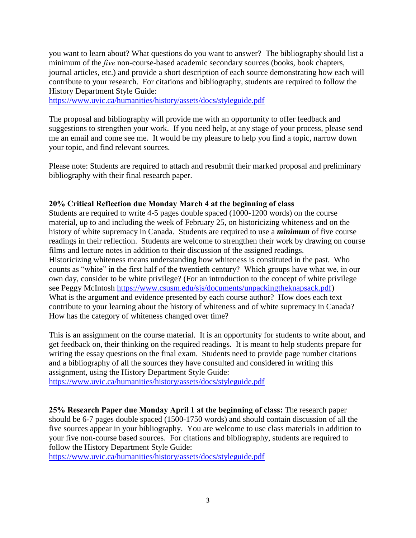you want to learn about? What questions do you want to answer? The bibliography should list a minimum of the *five* non-course-based academic secondary sources (books, book chapters, journal articles, etc.) and provide a short description of each source demonstrating how each will contribute to your research. For citations and bibliography, students are required to follow the History Department Style Guide:

<https://www.uvic.ca/humanities/history/assets/docs/styleguide.pdf>

The proposal and bibliography will provide me with an opportunity to offer feedback and suggestions to strengthen your work. If you need help, at any stage of your process, please send me an email and come see me. It would be my pleasure to help you find a topic, narrow down your topic, and find relevant sources.

Please note: Students are required to attach and resubmit their marked proposal and preliminary bibliography with their final research paper.

#### **20% Critical Reflection due Monday March 4 at the beginning of class**

Students are required to write 4-5 pages double spaced (1000-1200 words) on the course material, up to and including the week of February 25, on historicizing whiteness and on the history of white supremacy in Canada. Students are required to use a *minimum* of five course readings in their reflection. Students are welcome to strengthen their work by drawing on course films and lecture notes in addition to their discussion of the assigned readings. Historicizing whiteness means understanding how whiteness is constituted in the past. Who counts as "white" in the first half of the twentieth century? Which groups have what we, in our own day, consider to be white privilege? (For an introduction to the concept of white privilege see Peggy McIntosh [https://www.csusm.edu/sjs/documents/unpackingtheknapsack.pdf\)](https://www.csusm.edu/sjs/documents/unpackingtheknapsack.pdf) What is the argument and evidence presented by each course author? How does each text contribute to your learning about the history of whiteness and of white supremacy in Canada? How has the category of whiteness changed over time?

This is an assignment on the course material. It is an opportunity for students to write about, and get feedback on, their thinking on the required readings. It is meant to help students prepare for writing the essay questions on the final exam. Students need to provide page number citations and a bibliography of all the sources they have consulted and considered in writing this assignment, using the History Department Style Guide:

<https://www.uvic.ca/humanities/history/assets/docs/styleguide.pdf>

**25% Research Paper due Monday April 1 at the beginning of class:** The research paper should be 6-7 pages double spaced (1500-1750 words) and should contain discussion of all the five sources appear in your bibliography. You are welcome to use class materials in addition to your five non-course based sources. For citations and bibliography, students are required to follow the History Department Style Guide:

<https://www.uvic.ca/humanities/history/assets/docs/styleguide.pdf>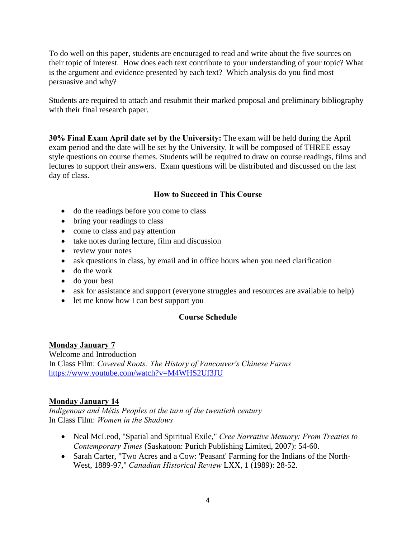To do well on this paper, students are encouraged to read and write about the five sources on their topic of interest. How does each text contribute to your understanding of your topic? What is the argument and evidence presented by each text? Which analysis do you find most persuasive and why?

Students are required to attach and resubmit their marked proposal and preliminary bibliography with their final research paper.

**30% Final Exam April date set by the University:** The exam will be held during the April exam period and the date will be set by the University. It will be composed of THREE essay style questions on course themes. Students will be required to draw on course readings, films and lectures to support their answers. Exam questions will be distributed and discussed on the last day of class.

### **How to Succeed in This Course**

- do the readings before you come to class
- bring your readings to class
- come to class and pay attention
- take notes during lecture, film and discussion
- review your notes
- ask questions in class, by email and in office hours when you need clarification
- do the work
- do your best
- ask for assistance and support (everyone struggles and resources are available to help)
- let me know how I can best support you

## **Course Schedule**

#### **Monday January 7**

Welcome and Introduction In Class Film: *Covered Roots: The History of Vancouver's Chinese Farms* <https://www.youtube.com/watch?v=M4WHS2Uf3JU>

#### **Monday January 14**

*Indigenous and Métis Peoples at the turn of the twentieth century*  In Class Film: *Women in the Shadows* 

- Neal McLeod, "Spatial and Spiritual Exile," *Cree Narrative Memory: From Treaties to Contemporary Times* (Saskatoon: Purich Publishing Limited, 2007): 54-60.
- Sarah Carter, "Two Acres and a Cow: 'Peasant' Farming for the Indians of the North-West, 1889-97," *Canadian Historical Review* LXX, 1 (1989): 28-52.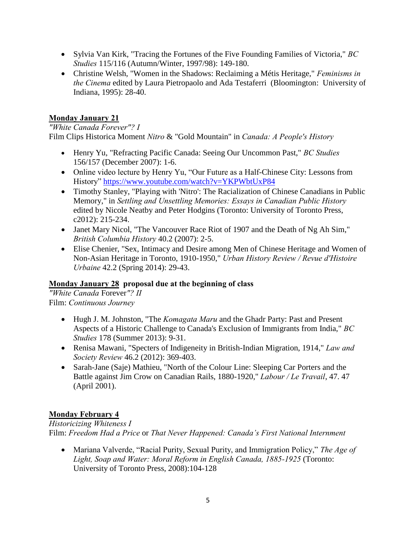- Sylvia Van Kirk, "Tracing the Fortunes of the Five Founding Families of Victoria," *BC Studies* 115/116 (Autumn/Winter, 1997/98): 149-180.
- Christine Welsh, "Women in the Shadows: Reclaiming a Métis Heritage," *Feminisms in the Cinema* edited by Laura Pietropaolo and Ada Testaferri (Bloomington: University of Indiana, 1995): 28-40.

## **Monday January 21**

*"White Canada Forever"? I*  Film Clips Historica Moment *Nitro* & "Gold Mountain" in *Canada: A People's History* 

- Henry Yu, "Refracting Pacific Canada: Seeing Our Uncommon Past," *BC Studies*  156/157 (December 2007): 1-6.
- Online video lecture by Henry Yu, "Our Future as a Half-Chinese City: Lessons from History" <https://www.youtube.com/watch?v=YKPWbtUxP84>
- Timothy Stanley, "Playing with 'Nitro': The Racialization of Chinese Canadians in Public Memory," in *Settling and Unsettling Memories: Essays in Canadian Public History*  edited by Nicole Neatby and Peter Hodgins (Toronto: University of Toronto Press, c2012): 215-234.
- Janet Mary Nicol, "The Vancouver Race Riot of 1907 and the Death of Ng Ah Sim," *British Columbia History* 40.2 (2007): 2-5.
- Elise Chenier, "Sex, Intimacy and Desire among Men of Chinese Heritage and Women of Non-Asian Heritage in Toronto, 1910-1950," *Urban History Review / Revue d'Histoire Urbaine* 42.2 (Spring 2014): 29-43.

#### **Monday January 28 proposal due at the beginning of class**

*"White Canada* Forever*"? II*  Film: *Continuous Journey*

- Hugh J. M. Johnston, "The *Komagata Maru* and the Ghadr Party: Past and Present Aspects of a Historic Challenge to Canada's Exclusion of Immigrants from India," *BC Studies* 178 (Summer 2013): 9-31.
- Renisa Mawani, "Specters of Indigeneity in British-Indian Migration, 1914," *Law and Society Review* 46.2 (2012): 369-403.
- Sarah-Jane (Saje) Mathieu, "North of the Colour Line: Sleeping Car Porters and the Battle against Jim Crow on Canadian Rails, 1880-1920," *Labour / Le Travail*, 47. 47 (April 2001).

## **Monday February 4**

*Historicizing Whiteness I*  Film: *Freedom Had a Price* or *That Never Happened: Canada's First National Internment*

 Mariana Valverde, "Racial Purity, Sexual Purity, and Immigration Policy," *The Age of Light, Soap and Water: Moral Reform in English Canada, 1885-1925* (Toronto: University of Toronto Press, 2008):104-128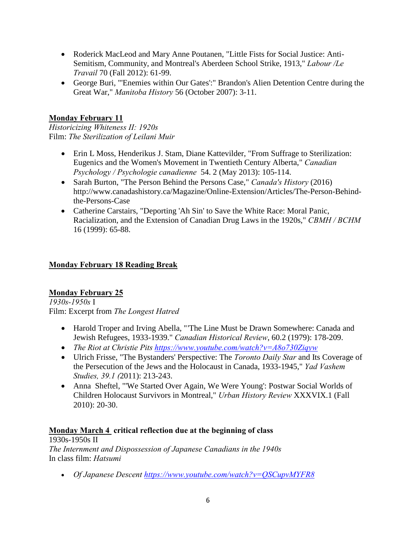- Roderick MacLeod and Mary Anne Poutanen, "Little Fists for Social Justice: Anti-Semitism, Community, and Montreal's Aberdeen School Strike, 1913," *Labour /Le Travail* 70 (Fall 2012): 61-99.
- George Buri, "'Enemies within Our Gates':" Brandon's Alien Detention Centre during the Great War," *Manitoba History* 56 (October 2007): 3-11.

### **Monday February 11**

*Historicizing Whiteness II: 1920s*  Film: *The Sterilization of Leilani Muir* 

- Erin L Moss, Henderikus J. Stam, Diane Kattevilder, "From Suffrage to Sterilization: Eugenics and the Women's Movement in Twentieth Century Alberta," *Canadian Psychology / Psychologie canadienne* 54. 2 (May 2013): 105-114.
- Sarah Burton, "The Person Behind the Persons Case," *Canada's History* (2016) http://www.canadashistory.ca/Magazine/Online-Extension/Articles/The-Person-Behindthe-Persons-Case
- Catherine Carstairs, "Deporting 'Ah Sin' to Save the White Race: Moral Panic, Racialization, and the Extension of Canadian Drug Laws in the 1920s," *CBMH / BCHM*  16 (1999): 65-88.

### **Monday February 18 Reading Break**

#### **Monday February 25**

*1930s-1950s* I Film: Excerpt from *The Longest Hatred*

- Harold Troper and Irving Abella, "'The Line Must be Drawn Somewhere: Canada and Jewish Refugees, 1933-1939." *Canadian Historical Review*, 60.2 (1979): 178-209.
- *The Riot at Christie Pits<https://www.youtube.com/watch?v=A8o730Ziqyw>*
- Ulrich Frisse, "The Bystanders' Perspective: The *Toronto Daily Star* and Its Coverage of the Persecution of the Jews and the Holocaust in Canada, 1933-1945," *Yad Vashem Studies, 39.1 (*2011): 213-243.
- Anna Sheftel, "'We Started Over Again, We Were Young': Postwar Social Worlds of Children Holocaust Survivors in Montreal," *Urban History Review* XXXVIX.1 (Fall 2010): 20-30.

#### **Monday March 4 critical reflection due at the beginning of class**

1930s-1950s II *The Internment and Dispossession of Japanese Canadians in the 1940s*  In class film: *Hatsumi*

*Of Japanese Descent<https://www.youtube.com/watch?v=QSCupvMYFR8>*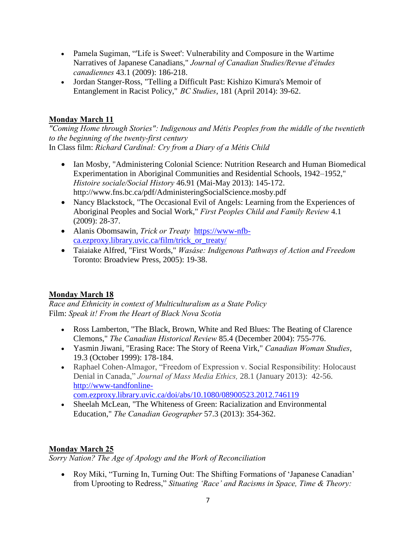- Pamela Sugiman, "'Life is Sweet': Vulnerability and Composure in the Wartime Narratives of Japanese Canadians," *Journal of Canadian Studies/Revue d'études canadiennes* 43.1 (2009): 186-218.
- Jordan Stanger-Ross, "Telling a Difficult Past: Kishizo Kimura's Memoir of Entanglement in Racist Policy," *BC Studies*, 181 (April 2014): 39-62.

## **Monday March 11**

*"Coming Home through Stories": Indigenous and Métis Peoples from the middle of the twentieth to the beginning of the twenty-first century*  In Class film: *Richard Cardinal: Cry from a Diary of a Métis Child* 

- Ian Mosby, "Administering Colonial Science: Nutrition Research and Human Biomedical Experimentation in Aboriginal Communities and Residential Schools, 1942–1952," *Histoire sociale/Social History* 46.91 (Mai-May 2013): 145-172. http://www.fns.bc.ca/pdf/AdministeringSocialScience.mosby.pdf
- Nancy Blackstock, "The Occasional Evil of Angels: Learning from the Experiences of Aboriginal Peoples and Social Work," *First Peoples Child and Family Review* 4.1 (2009): 28-37.
- Alanis Obomsawin, *Trick or Treaty* [https://www-nfb](https://www-nfb-ca.ezproxy.library.uvic.ca/film/trick_or_treaty/)[ca.ezproxy.library.uvic.ca/film/trick\\_or\\_treaty/](https://www-nfb-ca.ezproxy.library.uvic.ca/film/trick_or_treaty/)
- Taiaiake Alfred, "First Words," *Wasáse: Indigenous Pathways of Action and Freedom*  Toronto: Broadview Press, 2005): 19-38.

# **Monday March 18**

*Race and Ethnicity in context of Multiculturalism as a State Policy*  Film: *Speak it! From the Heart of Black Nova Scotia* 

- Ross Lamberton, "The Black, Brown, White and Red Blues: The Beating of Clarence Clemons," *The Canadian Historical Review* 85.4 (December 2004): 755-776.
- Yasmin Jiwani, "Erasing Race: The Story of Reena Virk," *Canadian Woman Studies*, 19.3 (October 1999): 178-184.
- Raphael Cohen-Almagor, "Freedom of Expression v. Social Responsibility: Holocaust Denial in Canada," *Journal of Mass Media Ethics,* 28.1 (January 2013): 42-56. [http://www-tandfonline](http://www-tandfonline-com.ezproxy.library.uvic.ca/doi/abs/10.1080/08900523.2012.746119)[com.ezproxy.library.uvic.ca/doi/abs/10.1080/08900523.2012.746119](http://www-tandfonline-com.ezproxy.library.uvic.ca/doi/abs/10.1080/08900523.2012.746119)
- Sheelah McLean, "The Whiteness of Green: Racialization and Environmental Education," *The Canadian Geographer* 57.3 (2013): 354-362.

# **Monday March 25**

*Sorry Nation? The Age of Apology and the Work of Reconciliation* 

 Roy Miki, "Turning In, Turning Out: The Shifting Formations of 'Japanese Canadian' from Uprooting to Redress," *Situating 'Race' and Racisms in Space, Time & Theory:*